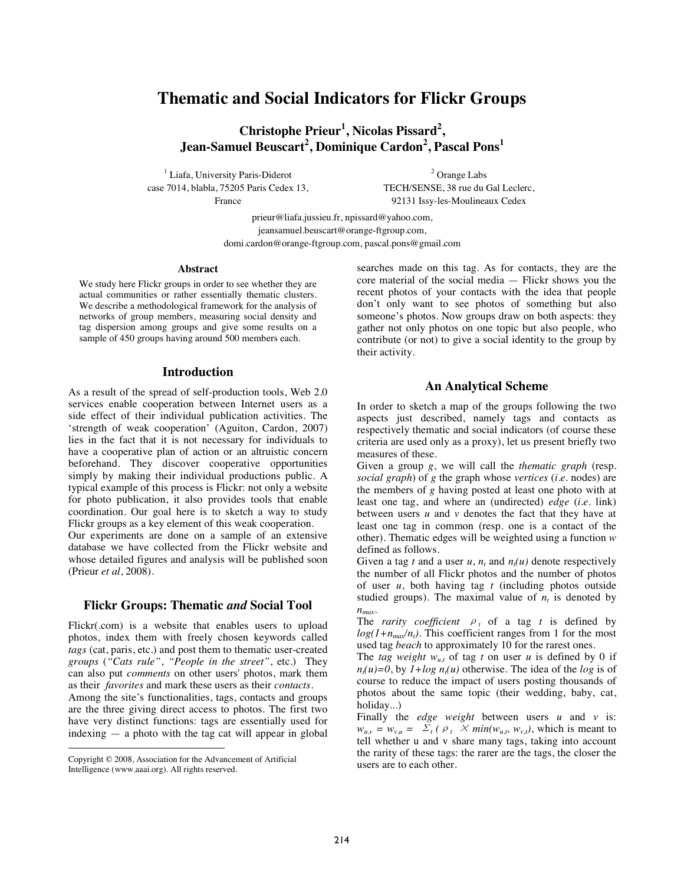# **Thematic and Social Indicators for Flickr Groups**

Christophe Prieur<sup>1</sup>, Nicolas Pissard<sup>2</sup>,  $\rm{Jean-Samuel \, Beuscart}^2, \rm{Dominique \, Cardon}^2, \rm{Pascal \, Pons}^1$ 

<sup>1</sup> Liafa, University Paris-Diderot case 7014, blabla, 75205 Paris Cedex 13, France

2 Orange Labs TECH/SENSE, 38 rue du Gal Leclerc, 92131 Issy-les-Moulineaux Cedex

prieur@liafa.jussieu.fr, npissard@yahoo.com, jeansamuel.beuscart@orange-ftgroup.com, domi.cardon@orange-ftgroup.com, pascal.pons@gmail.com

#### **Abstract**

We study here Flickr groups in order to see whether they are actual communities or rather essentially thematic clusters. We describe a methodological framework for the analysis of networks of group members, measuring social density and tag dispersion among groups and give some results on a sample of 450 groups having around 500 members each.

## **Introduction**

As a result of the spread of self-production tools, Web 2.0 services enable cooperation between Internet users as a side effect of their individual publication activities. The 'strength of weak cooperation' (Aguiton, Cardon, 2007) lies in the fact that it is not necessary for individuals to have a cooperative plan of action or an altruistic concern beforehand. They discover cooperative opportunities simply by making their individual productions public. A typical example of this process is Flickr: not only a website for photo publication, it also provides tools that enable coordination. Our goal here is to sketch a way to study Flickr groups as a key element of this weak cooperation.

Our experiments are done on a sample of an extensive database we have collected from the Flickr website and whose detailed figures and analysis will be published soon (Prieur *et al*, 2008).

## **Flickr Groups: Thematic** *and* **Social Tool**

Flickr(.com) is a website that enables users to upload photos, index them with freely chosen keywords called *tags* (cat, paris, etc.) and post them to thematic user-created *groups* (*"Cats rule"*, *"People in the street"*, etc.) They can also put *comments* on other users' photos, mark them as their *favorites* and mark these users as their *contacts*.

Among the site's functionalities, tags, contacts and groups are the three giving direct access to photos. The first two have very distinct functions: tags are essentially used for indexing — a photo with the tag cat will appear in global

 $\overline{a}$ 

searches made on this tag. As for contacts, they are the core material of the social media — Flickr shows you the recent photos of your contacts with the idea that people don't only want to see photos of something but also someone's photos. Now groups draw on both aspects: they gather not only photos on one topic but also people, who contribute (or not) to give a social identity to the group by their activity.

## **An Analytical Scheme**

In order to sketch a map of the groups following the two aspects just described, namely tags and contacts as respectively thematic and social indicators (of course these criteria are used only as a proxy), let us present briefly two measures of these.

Given a group *g*, we will call the *thematic graph* (resp. *social graph*) of *g* the graph whose *vertices* (*i.e.* nodes) are the members of *g* having posted at least one photo with at least one tag, and where an (undirected) *edge* (*i.e.* link) between users *u* and *v* denotes the fact that they have at least one tag in common (resp. one is a contact of the other). Thematic edges will be weighted using a function *w* defined as follows.

Given a tag *t* and a user  $u$ ,  $n_t$  and  $n_t(u)$  denote respectively the number of all Flickr photos and the number of photos of user *u*, both having tag *t* (including photos outside studied groups). The maximal value of  $n_t$  is denoted by *nmax*.

The *rarity coefficient*  $\rho_t$  of a tag *t* is defined by  $log(1+n_{max}/n_t)$ . This coefficient ranges from 1 for the most used tag *beach* to approximately 10 for the rarest ones.

The *tag weight*  $w_{u,t}$  of tag *t* on user *u* is defined by 0 if  $n_f(u)=0$ , by  $1+log n_f(u)$  otherwise. The idea of the *log* is of course to reduce the impact of users posting thousands of photos about the same topic (their wedding, baby, cat, holiday...)

Finally the *edge weight* between users *u* and *v* is:  $w_{u,v} = w_{v,u} = \Sigma_t (\rho_t \times min(w_{u,t}, w_{v,t}),$  which is meant to tell whether u and v share many tags, taking into account the rarity of these tags: the rarer are the tags, the closer the users are to each other.

Copyright © 2008, Association for the Advancement of Artificial Intelligence (www.aaai.org). All rights reserved.